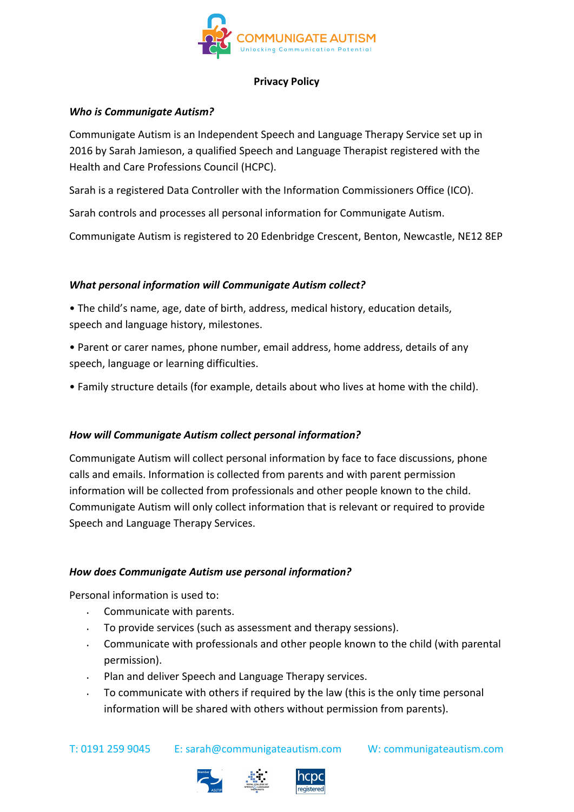

# **Privacy Policy**

## **Who is Communigate Autism?**

Communigate Autism is an Independent Speech and Language Therapy Service set up in 2016 by Sarah Jamieson, a qualified Speech and Language Therapist registered with the Health and Care Professions Council (HCPC).

Sarah is a registered Data Controller with the Information Commissioners Office (ICO).

Sarah controls and processes all personal information for Communigate Autism.

Communigate Autism is registered to 20 Edenbridge Crescent, Benton, Newcastle, NE12 8EP

## *What personal information will Communigate Autism collect?*

- The child's name, age, date of birth, address, medical history, education details, speech and language history, milestones.
- Parent or carer names, phone number, email address, home address, details of any speech, language or learning difficulties.
- Family structure details (for example, details about who lives at home with the child).

## *How will Communigate Autism collect personal information?*

Communigate Autism will collect personal information by face to face discussions, phone calls and emails. Information is collected from parents and with parent permission information will be collected from professionals and other people known to the child. Communigate Autism will only collect information that is relevant or required to provide Speech and Language Therapy Services.

## *How does Communigate Autism use personal information?*

Personal information is used to:

- Communicate with parents.
- To provide services (such as assessment and therapy sessions).
- $\cdot$  Communicate with professionals and other people known to the child (with parental permission).
- Plan and deliver Speech and Language Therapy services.
- To communicate with others if required by the law (this is the only time personal information will be shared with others without permission from parents).

T: 0191 259 9045 E: sarah@communigateautism.com W: communigateautism.com



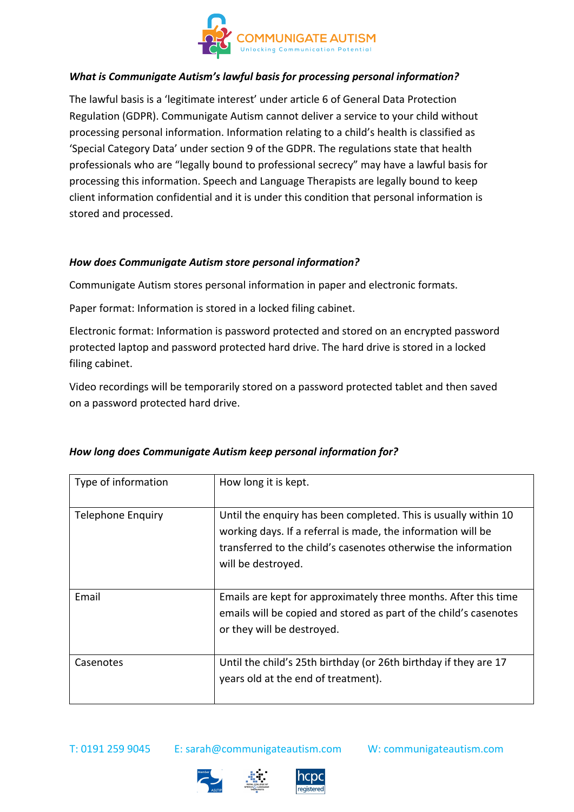

# *What is Communigate Autism's lawful basis for processing personal information?*

The lawful basis is a 'legitimate interest' under article 6 of General Data Protection Regulation (GDPR). Communigate Autism cannot deliver a service to your child without processing personal information. Information relating to a child's health is classified as 'Special Category Data' under section 9 of the GDPR. The regulations state that health professionals who are "legally bound to professional secrecy" may have a lawful basis for processing this information. Speech and Language Therapists are legally bound to keep client information confidential and it is under this condition that personal information is stored and processed.

## *How does Communigate Autism store personal information?*

Communigate Autism stores personal information in paper and electronic formats.

Paper format: Information is stored in a locked filing cabinet.

Electronic format: Information is password protected and stored on an encrypted password protected laptop and password protected hard drive. The hard drive is stored in a locked filing cabinet.

Video recordings will be temporarily stored on a password protected tablet and then saved on a password protected hard drive.

| Type of information      | How long it is kept.                                                                                                                                                                                                    |
|--------------------------|-------------------------------------------------------------------------------------------------------------------------------------------------------------------------------------------------------------------------|
| <b>Telephone Enquiry</b> | Until the enquiry has been completed. This is usually within 10<br>working days. If a referral is made, the information will be<br>transferred to the child's casenotes otherwise the information<br>will be destroyed. |
| Email                    | Emails are kept for approximately three months. After this time<br>emails will be copied and stored as part of the child's casenotes<br>or they will be destroyed.                                                      |
| Casenotes                | Until the child's 25th birthday (or 26th birthday if they are 17<br>years old at the end of treatment).                                                                                                                 |

## *How long does Communigate Autism keep personal information for?*

T: 0191 259 9045 E: sarah@communigateautism.com W: communigateautism.com